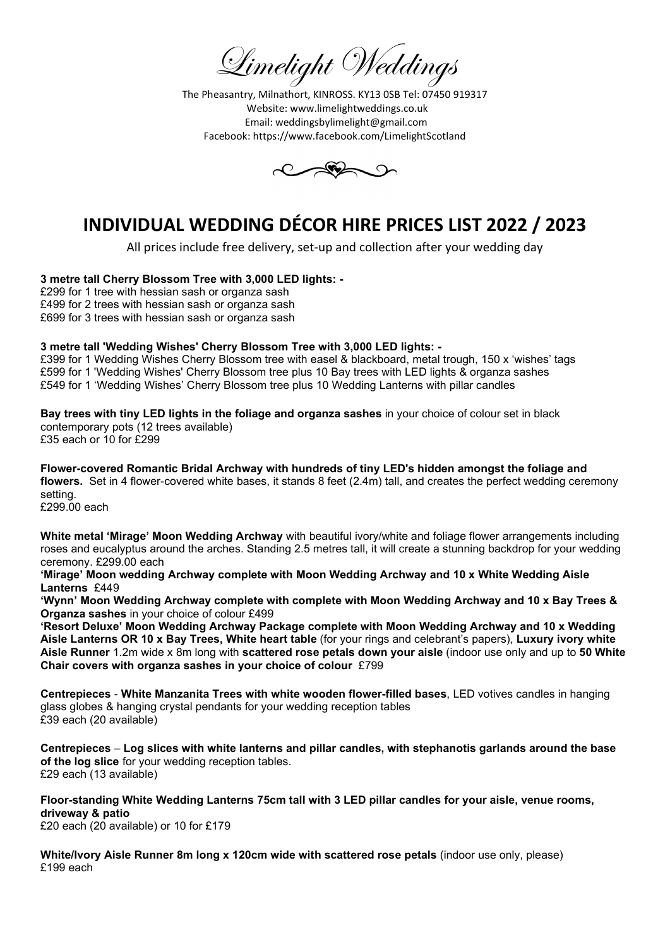Limelight Weddings

The Pheasantry, Milnathort, KINROSS. KY13 0SB Tel: 07450 919317 Website: www.limelightweddings.co.uk Email: weddingsbylimelight@gmail.com Facebook: https://www.facebook.com/LimelightScotland



# INDIVIDUAL WEDDING DÉCOR HIRE PRICES LIST 2022 / 2023

All prices include free delivery, set-up and collection after your wedding day

#### 3 metre tall Cherry Blossom Tree with 3,000 LED lights: -

£299 for 1 tree with hessian sash or organza sash £499 for 2 trees with hessian sash or organza sash £699 for 3 trees with hessian sash or organza sash

#### 3 metre tall 'Wedding Wishes' Cherry Blossom Tree with 3,000 LED lights: -

£399 for 1 Wedding Wishes Cherry Blossom tree with easel & blackboard, metal trough, 150 x 'wishes' tags £599 for 1 'Wedding Wishes' Cherry Blossom tree plus 10 Bay trees with LED lights & organza sashes £549 for 1 'Wedding Wishes' Cherry Blossom tree plus 10 Wedding Lanterns with pillar candles

Bay trees with tiny LED lights in the foliage and organza sashes in your choice of colour set in black contemporary pots (12 trees available)

£35 each or 10 for £299

Flower-covered Romantic Bridal Archway with hundreds of tiny LED's hidden amongst the foliage and flowers. Set in 4 flower-covered white bases, it stands 8 feet (2.4m) tall, and creates the perfect wedding ceremony setting. £299.00 each

White metal 'Mirage' Moon Wedding Archway with beautiful ivory/white and foliage flower arrangements including roses and eucalyptus around the arches. Standing 2.5 metres tall, it will create a stunning backdrop for your wedding ceremony. £299.00 each

'Mirage' Moon wedding Archway complete with Moon Wedding Archway and 10 x White Wedding Aisle Lanterns £449

'Wynn' Moon Wedding Archway complete with complete with Moon Wedding Archway and 10 x Bay Trees & Organza sashes in your choice of colour £499

'Resort Deluxe' Moon Wedding Archway Package complete with Moon Wedding Archway and 10 x Wedding Aisle Lanterns OR 10 x Bay Trees, White heart table (for your rings and celebrant's papers), Luxury ivory white Aisle Runner 1.2m wide x 8m long with scattered rose petals down your aisle (indoor use only and up to 50 White Chair covers with organza sashes in your choice of colour £799

Centrepieces - White Manzanita Trees with white wooden flower-filled bases, LED votives candles in hanging glass globes & hanging crystal pendants for your wedding reception tables £39 each (20 available)

Centrepieces – Log slices with white lanterns and pillar candles, with stephanotis garlands around the base of the log slice for your wedding reception tables. £29 each (13 available)

Floor-standing White Wedding Lanterns 75cm tall with 3 LED pillar candles for your aisle, venue rooms, driveway & patio

£20 each (20 available) or 10 for £179

White/Ivory Aisle Runner 8m long x 120cm wide with scattered rose petals (indoor use only, please) £199 each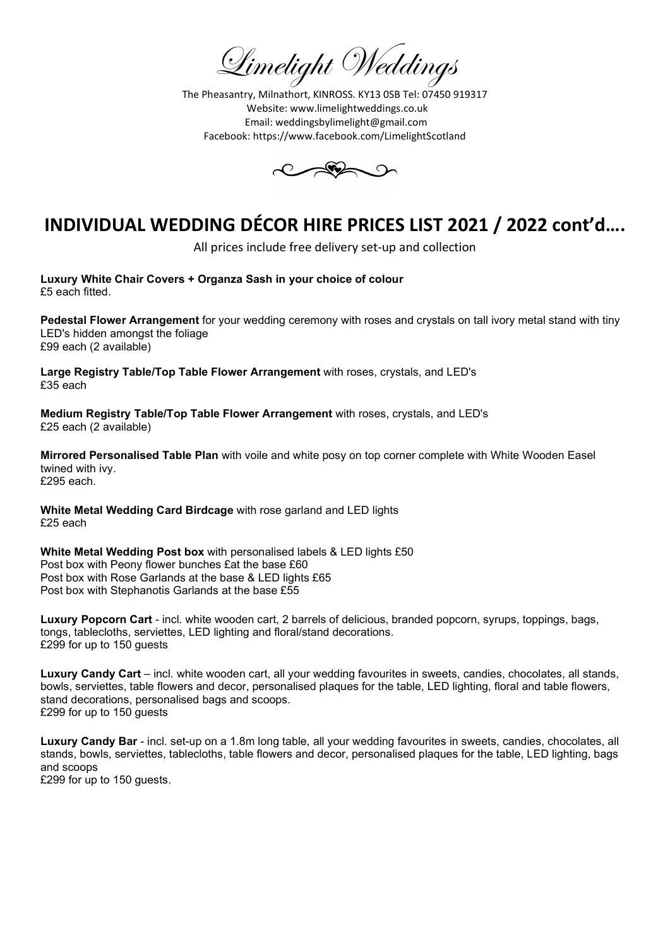Limelight Weddings

The Pheasantry, Milnathort, KINROSS. KY13 0SB Tel: 07450 919317 Website: www.limelightweddings.co.uk Email: weddingsbylimelight@gmail.com Facebook: https://www.facebook.com/LimelightScotland



All prices include free delivery set-up and collection

Luxury White Chair Covers + Organza Sash in your choice of colour £5 each fitted.

Pedestal Flower Arrangement for your wedding ceremony with roses and crystals on tall ivory metal stand with tiny LED's hidden amongst the foliage £99 each (2 available)

Large Registry Table/Top Table Flower Arrangement with roses, crystals, and LED's £35 each

Medium Registry Table/Top Table Flower Arrangement with roses, crystals, and LED's £25 each (2 available)

Mirrored Personalised Table Plan with voile and white posy on top corner complete with White Wooden Easel twined with ivy. £295 each.

White Metal Wedding Card Birdcage with rose garland and LED lights £25 each

White Metal Wedding Post box with personalised labels & LED lights £50 Post box with Peony flower bunches £at the base £60 Post box with Rose Garlands at the base & LED lights £65 Post box with Stephanotis Garlands at the base £55

Luxury Popcorn Cart - incl. white wooden cart, 2 barrels of delicious, branded popcorn, syrups, toppings, bags, tongs, tablecloths, serviettes, LED lighting and floral/stand decorations. £299 for up to 150 guests

Luxury Candy Cart – incl. white wooden cart, all your wedding favourites in sweets, candies, chocolates, all stands, bowls, serviettes, table flowers and decor, personalised plaques for the table, LED lighting, floral and table flowers, stand decorations, personalised bags and scoops. £299 for up to 150 guests

Luxury Candy Bar - incl. set-up on a 1.8m long table, all your wedding favourites in sweets, candies, chocolates, all stands, bowls, serviettes, tablecloths, table flowers and decor, personalised plaques for the table, LED lighting, bags and scoops £299 for up to 150 guests.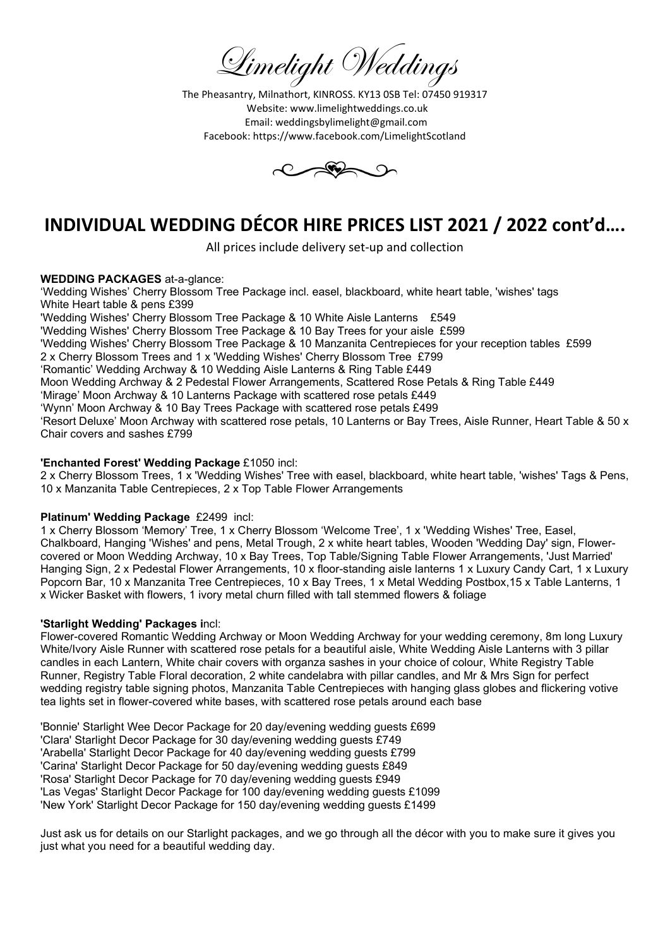Limelight Weddings

The Pheasantry, Milnathort, KINROSS. KY13 0SB Tel: 07450 919317 Website: www.limelightweddings.co.uk Email: weddingsbylimelight@gmail.com Facebook: https://www.facebook.com/LimelightScotland



All prices include delivery set-up and collection

## WEDDING PACKAGES at-a-glance:

'Wedding Wishes' Cherry Blossom Tree Package incl. easel, blackboard, white heart table, 'wishes' tags White Heart table & pens £399 'Wedding Wishes' Cherry Blossom Tree Package & 10 White Aisle Lanterns £549 'Wedding Wishes' Cherry Blossom Tree Package & 10 Bay Trees for your aisle £599 'Wedding Wishes' Cherry Blossom Tree Package & 10 Manzanita Centrepieces for your reception tables £599 2 x Cherry Blossom Trees and 1 x 'Wedding Wishes' Cherry Blossom Tree £799 'Romantic' Wedding Archway & 10 Wedding Aisle Lanterns & Ring Table £449 Moon Wedding Archway & 2 Pedestal Flower Arrangements, Scattered Rose Petals & Ring Table £449 'Mirage' Moon Archway & 10 Lanterns Package with scattered rose petals £449 'Wynn' Moon Archway & 10 Bay Trees Package with scattered rose petals £499 'Resort Deluxe' Moon Archway with scattered rose petals, 10 Lanterns or Bay Trees, Aisle Runner, Heart Table & 50 x Chair covers and sashes £799

## 'Enchanted Forest' Wedding Package £1050 incl:

2 x Cherry Blossom Trees, 1 x 'Wedding Wishes' Tree with easel, blackboard, white heart table, 'wishes' Tags & Pens, 10 x Manzanita Table Centrepieces, 2 x Top Table Flower Arrangements

## Platinum' Wedding Package £2499 incl:

1 x Cherry Blossom 'Memory' Tree, 1 x Cherry Blossom 'Welcome Tree', 1 x 'Wedding Wishes' Tree, Easel, Chalkboard, Hanging 'Wishes' and pens, Metal Trough, 2 x white heart tables, Wooden 'Wedding Day' sign, Flowercovered or Moon Wedding Archway, 10 x Bay Trees, Top Table/Signing Table Flower Arrangements, 'Just Married' Hanging Sign, 2 x Pedestal Flower Arrangements, 10 x floor-standing aisle lanterns 1 x Luxury Candy Cart, 1 x Luxury Popcorn Bar, 10 x Manzanita Tree Centrepieces, 10 x Bay Trees, 1 x Metal Wedding Postbox,15 x Table Lanterns, 1 x Wicker Basket with flowers, 1 ivory metal churn filled with tall stemmed flowers & foliage

#### 'Starlight Wedding' Packages incl:

Flower-covered Romantic Wedding Archway or Moon Wedding Archway for your wedding ceremony, 8m long Luxury White/Ivory Aisle Runner with scattered rose petals for a beautiful aisle, White Wedding Aisle Lanterns with 3 pillar candles in each Lantern, White chair covers with organza sashes in your choice of colour, White Registry Table Runner, Registry Table Floral decoration, 2 white candelabra with pillar candles, and Mr & Mrs Sign for perfect wedding registry table signing photos, Manzanita Table Centrepieces with hanging glass globes and flickering votive tea lights set in flower-covered white bases, with scattered rose petals around each base

'Bonnie' Starlight Wee Decor Package for 20 day/evening wedding guests £699 'Clara' Starlight Decor Package for 30 day/evening wedding guests £749 'Arabella' Starlight Decor Package for 40 day/evening wedding guests £799 'Carina' Starlight Decor Package for 50 day/evening wedding guests £849 'Rosa' Starlight Decor Package for 70 day/evening wedding guests £949 'Las Vegas' Starlight Decor Package for 100 day/evening wedding guests £1099 'New York' Starlight Decor Package for 150 day/evening wedding guests £1499

Just ask us for details on our Starlight packages, and we go through all the décor with you to make sure it gives you just what you need for a beautiful wedding day.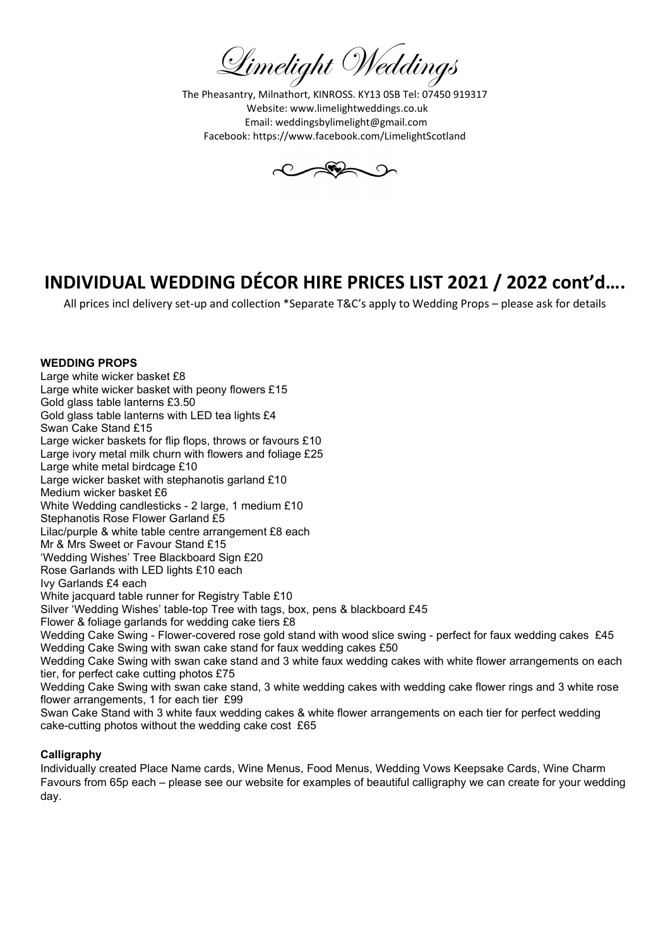Limelight Weddings

The Pheasantry, Milnathort, KINROSS. KY13 0SB Tel: 07450 919317 Website: www.limelightweddings.co.uk Email: weddingsbylimelight@gmail.com Facebook: https://www.facebook.com/LimelightScotland



All prices incl delivery set-up and collection \*Separate T&C's apply to Wedding Props – please ask for details

#### WEDDING PROPS

Large white wicker basket £8 Large white wicker basket with peony flowers £15 Gold glass table lanterns £3.50 Gold glass table lanterns with LED tea lights £4 Swan Cake Stand £15 Large wicker baskets for flip flops, throws or favours £10 Large ivory metal milk churn with flowers and foliage £25 Large white metal birdcage £10 Large wicker basket with stephanotis garland £10 Medium wicker basket £6 White Wedding candlesticks - 2 large, 1 medium £10 Stephanotis Rose Flower Garland £5 Lilac/purple & white table centre arrangement £8 each Mr & Mrs Sweet or Favour Stand £15 'Wedding Wishes' Tree Blackboard Sign £20 Rose Garlands with LED lights £10 each Ivy Garlands £4 each White jacquard table runner for Registry Table £10 Silver 'Wedding Wishes' table-top Tree with tags, box, pens & blackboard £45 Flower & foliage garlands for wedding cake tiers £8 Wedding Cake Swing - Flower-covered rose gold stand with wood slice swing - perfect for faux wedding cakes £45 Wedding Cake Swing with swan cake stand for faux wedding cakes £50 Wedding Cake Swing with swan cake stand and 3 white faux wedding cakes with white flower arrangements on each tier, for perfect cake cutting photos £75 Wedding Cake Swing with swan cake stand, 3 white wedding cakes with wedding cake flower rings and 3 white rose flower arrangements, 1 for each tier £99 Swan Cake Stand with 3 white faux wedding cakes & white flower arrangements on each tier for perfect wedding cake-cutting photos without the wedding cake cost £65

#### Calligraphy

Individually created Place Name cards, Wine Menus, Food Menus, Wedding Vows Keepsake Cards, Wine Charm Favours from 65p each – please see our website for examples of beautiful calligraphy we can create for your wedding day.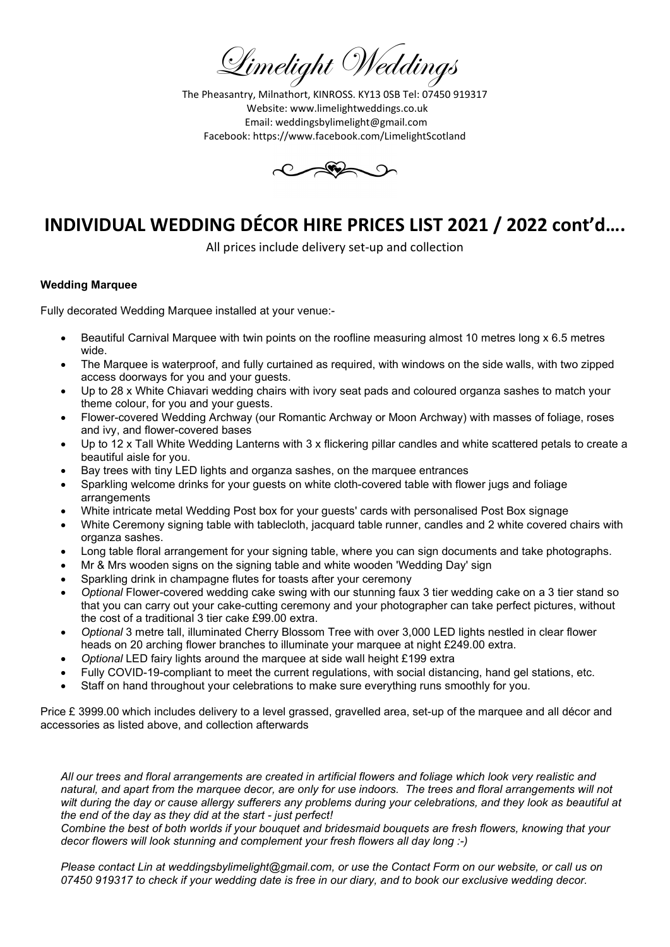Limelight Weddings

The Pheasantry, Milnathort, KINROSS. KY13 0SB Tel: 07450 919317 Website: www.limelightweddings.co.uk Email: weddingsbylimelight@gmail.com Facebook: https://www.facebook.com/LimelightScotland



All prices include delivery set-up and collection

## Wedding Marquee

Fully decorated Wedding Marquee installed at your venue:-

- Beautiful Carnival Marquee with twin points on the roofline measuring almost 10 metres long x 6.5 metres wide.
- The Marquee is waterproof, and fully curtained as required, with windows on the side walls, with two zipped access doorways for you and your guests.
- Up to 28 x White Chiavari wedding chairs with ivory seat pads and coloured organza sashes to match your theme colour, for you and your guests.
- Flower-covered Wedding Archway (our Romantic Archway or Moon Archway) with masses of foliage, roses and ivy, and flower-covered bases
- Up to 12 x Tall White Wedding Lanterns with 3 x flickering pillar candles and white scattered petals to create a beautiful aisle for you.
- Bay trees with tiny LED lights and organza sashes, on the marquee entrances
- Sparkling welcome drinks for your guests on white cloth-covered table with flower jugs and foliage arrangements
- White intricate metal Wedding Post box for your guests' cards with personalised Post Box signage
- White Ceremony signing table with tablecloth, jacquard table runner, candles and 2 white covered chairs with organza sashes.
- Long table floral arrangement for your signing table, where you can sign documents and take photographs.
- Mr & Mrs wooden signs on the signing table and white wooden 'Wedding Day' sign
- Sparkling drink in champagne flutes for toasts after your ceremony
- Optional Flower-covered wedding cake swing with our stunning faux 3 tier wedding cake on a 3 tier stand so that you can carry out your cake-cutting ceremony and your photographer can take perfect pictures, without the cost of a traditional 3 tier cake £99.00 extra.
- Optional 3 metre tall, illuminated Cherry Blossom Tree with over 3,000 LED lights nestled in clear flower heads on 20 arching flower branches to illuminate your marquee at night £249.00 extra.
- Optional LED fairy lights around the marquee at side wall height £199 extra
- Fully COVID-19-compliant to meet the current regulations, with social distancing, hand gel stations, etc.
- Staff on hand throughout your celebrations to make sure everything runs smoothly for you.

Price £ 3999.00 which includes delivery to a level grassed, gravelled area, set-up of the marquee and all décor and accessories as listed above, and collection afterwards

All our trees and floral arrangements are created in artificial flowers and foliage which look very realistic and natural, and apart from the marquee decor, are only for use indoors. The trees and floral arrangements will not wilt during the day or cause allergy sufferers any problems during your celebrations, and they look as beautiful at the end of the day as they did at the start - just perfect!

Combine the best of both worlds if your bouquet and bridesmaid bouquets are fresh flowers, knowing that your decor flowers will look stunning and complement your fresh flowers all day long :-)

Please contact Lin at weddingsbylimelight@gmail.com, or use the Contact Form on our website, or call us on 07450 919317 to check if your wedding date is free in our diary, and to book our exclusive wedding decor.